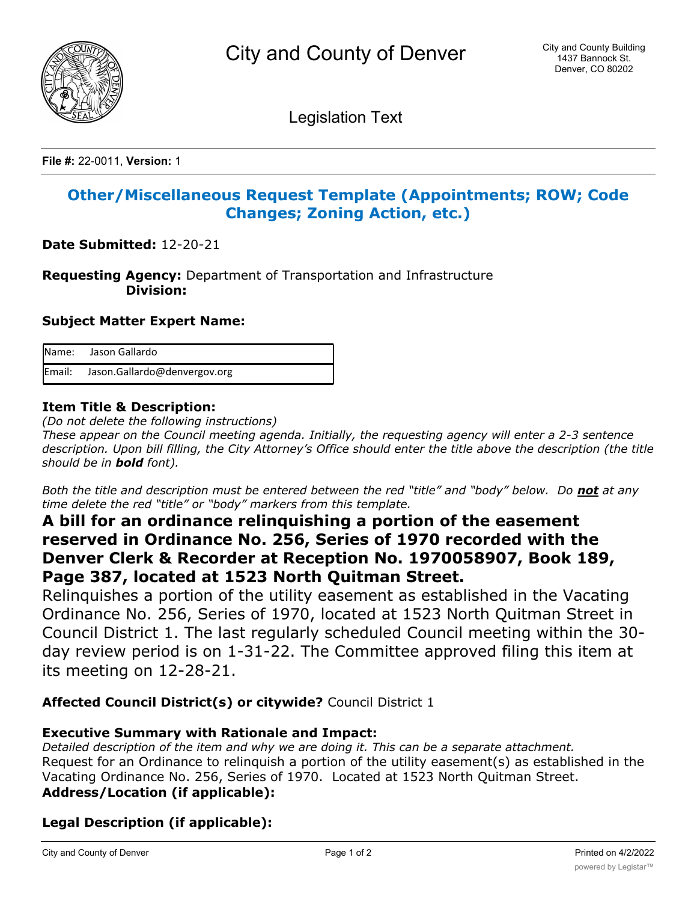

Legislation Text

**File #:** 22-0011, **Version:** 1

# **Other/Miscellaneous Request Template (Appointments; ROW; Code Changes; Zoning Action, etc.)**

**Date Submitted:** 12-20-21

**Requesting Agency:** Department of Transportation and Infrastructure  **Division:**

#### **Subject Matter Expert Name:**

| Name: Jason Gallardo                |
|-------------------------------------|
| Email: Jason.Gallardo@denvergov.org |

## **Item Title & Description:**

*(Do not delete the following instructions)*

*These appear on the Council meeting agenda. Initially, the requesting agency will enter a 2-3 sentence description. Upon bill filling, the City Attorney's Office should enter the title above the description (the title should be in bold font).*

*Both the title and description must be entered between the red "title" and "body" below. Do not at any time delete the red "title" or "body" markers from this template.*

# **A bill for an ordinance relinquishing a portion of the easement reserved in Ordinance No. 256, Series of 1970 recorded with the Denver Clerk & Recorder at Reception No. 1970058907, Book 189, Page 387, located at 1523 North Quitman Street.**

Relinquishes a portion of the utility easement as established in the Vacating Ordinance No. 256, Series of 1970, located at 1523 North Quitman Street in Council District 1. The last regularly scheduled Council meeting within the 30 day review period is on 1-31-22. The Committee approved filing this item at its meeting on 12-28-21.

## **Affected Council District(s) or citywide?** Council District 1

## **Executive Summary with Rationale and Impact:**

*Detailed description of the item and why we are doing it. This can be a separate attachment.* Request for an Ordinance to relinquish a portion of the utility easement(s) as established in the Vacating Ordinance No. 256, Series of 1970. Located at 1523 North Quitman Street. **Address/Location (if applicable):**

## **Legal Description (if applicable):**